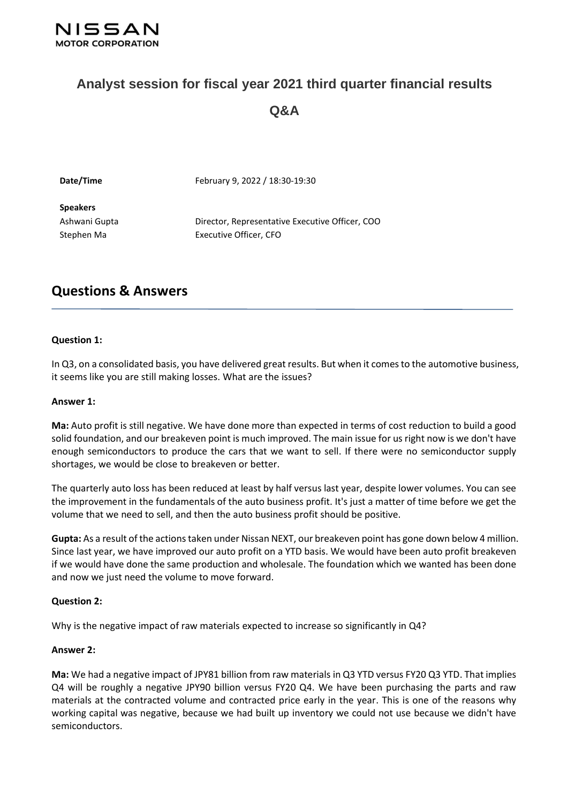

# **Analyst session for fiscal year 2021 third quarter financial results Q&A**

| Date/Time       | February 9, 2022 / 18:30-19:30                  |
|-----------------|-------------------------------------------------|
| <b>Speakers</b> |                                                 |
| Ashwani Gupta   | Director, Representative Executive Officer, COO |
| Stephen Ma      | Executive Officer, CFO                          |
|                 |                                                 |

# **Questions & Answers**

# **Question 1:**

In Q3, on a consolidated basis, you have delivered great results. But when it comes to the automotive business, it seems like you are still making losses. What are the issues?

#### **Answer 1:**

**Ma:** Auto profit is still negative. We have done more than expected in terms of cost reduction to build a good solid foundation, and our breakeven point is much improved. The main issue for us right now is we don't have enough semiconductors to produce the cars that we want to sell. If there were no semiconductor supply shortages, we would be close to breakeven or better.

The quarterly auto loss has been reduced at least by half versus last year, despite lower volumes. You can see the improvement in the fundamentals of the auto business profit. It's just a matter of time before we get the volume that we need to sell, and then the auto business profit should be positive.

**Gupta:** As a result of the actions taken under Nissan NEXT, our breakeven point has gone down below 4 million. Since last year, we have improved our auto profit on a YTD basis. We would have been auto profit breakeven if we would have done the same production and wholesale. The foundation which we wanted has been done and now we just need the volume to move forward.

#### **Question 2:**

Why is the negative impact of raw materials expected to increase so significantly in Q4?

#### **Answer 2:**

**Ma:** We had a negative impact of JPY81 billion from raw materials in Q3 YTD versus FY20 Q3 YTD. That implies Q4 will be roughly a negative JPY90 billion versus FY20 Q4. We have been purchasing the parts and raw materials at the contracted volume and contracted price early in the year. This is one of the reasons why working capital was negative, because we had built up inventory we could not use because we didn't have semiconductors.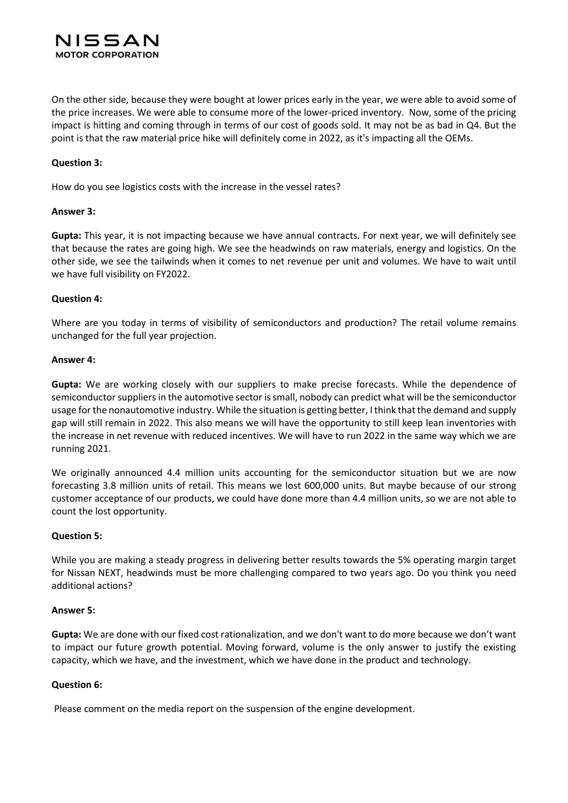# NISSAN **MOTOR CORPORATION**

On the other side, because they were bought at lower prices early in the year, we were able to avoid some of the price increases. We were able to consume more of the lower-priced inventory. Now, some of the pricing impact is hitting and coming through in terms of our cost of goods sold. It may not be as bad in Q4. But the point is that the raw material price hike will definitely come in 2022, as it's impacting all the OEMs.

# **Question 3:**

How do you see logistics costs with the increase in the vessel rates?

# **Answer 3:**

**Gupta:** This year, it is not impacting because we have annual contracts. For next year, we will definitely see that because the rates are going high. We see the headwinds on raw materials, energy and logistics. On the other side, we see the tailwinds when it comes to net revenue per unit and volumes. We have to wait until we have full visibility on FY2022.

# **Question 4:**

Where are you today in terms of visibility of semiconductors and production? The retail volume remains unchanged for the full year projection.

# **Answer 4:**

**Gupta:** We are working closely with our suppliers to make precise forecasts. While the dependence of semiconductor suppliers in the automotive sector is small, nobody can predict what will be the semiconductor usage for the nonautomotive industry. While the situation is getting better, I think that the demand and supply gap will still remain in 2022. This also means we will have the opportunity to still keep lean inventories with the increase in net revenue with reduced incentives. We will have to run 2022 in the same way which we are running 2021.

We originally announced 4.4 million units accounting for the semiconductor situation but we are now forecasting 3.8 million units of retail. This means we lost 600,000 units. But maybe because of our strong customer acceptance of our products, we could have done more than 4.4 million units, so we are not able to count the lost opportunity.

# **Question 5:**

While you are making a steady progress in delivering better results towards the 5% operating margin target for Nissan NEXT, headwinds must be more challenging compared to two years ago. Do you think you need additional actions?

# **Answer 5:**

**Gupta:** We are done with our fixed cost rationalization, and we don't want to do more because we don't want to impact our future growth potential. Moving forward, volume is the only answer to justify the existing capacity, which we have, and the investment, which we have done in the product and technology.

# **Question 6:**

Please comment on the media report on the suspension of the engine development.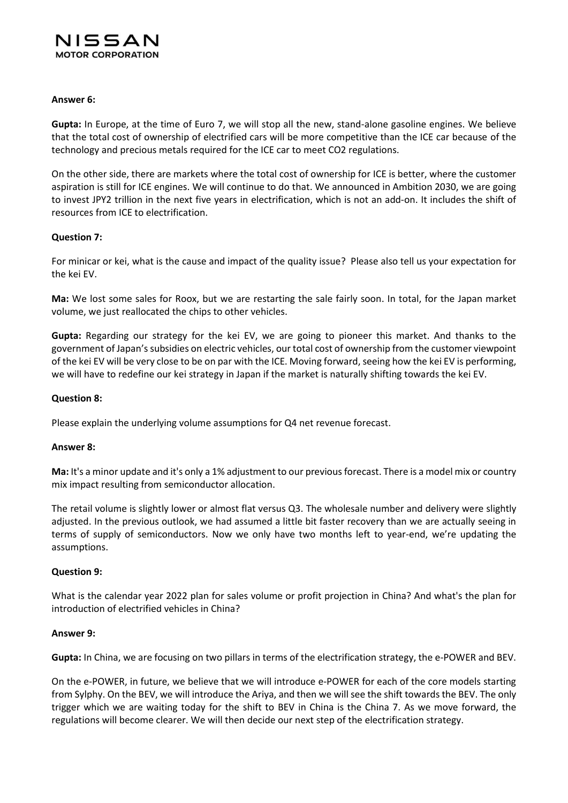

# **Answer 6:**

**Gupta:** In Europe, at the time of Euro 7, we will stop all the new, stand-alone gasoline engines. We believe that the total cost of ownership of electrified cars will be more competitive than the ICE car because of the technology and precious metals required for the ICE car to meet CO2 regulations.

On the other side, there are markets where the total cost of ownership for ICE is better, where the customer aspiration is still for ICE engines. We will continue to do that. We announced in Ambition 2030, we are going to invest JPY2 trillion in the next five years in electrification, which is not an add-on. It includes the shift of resources from ICE to electrification.

# **Question 7:**

For minicar or kei, what is the cause and impact of the quality issue? Please also tell us your expectation for the kei EV.

**Ma:** We lost some sales for Roox, but we are restarting the sale fairly soon. In total, for the Japan market volume, we just reallocated the chips to other vehicles.

**Gupta:** Regarding our strategy for the kei EV, we are going to pioneer this market. And thanks to the government of Japan'ssubsidies on electric vehicles, our total cost of ownership from the customer viewpoint of the kei EV will be very close to be on par with the ICE. Moving forward, seeing how the kei EV is performing, we will have to redefine our kei strategy in Japan if the market is naturally shifting towards the kei EV.

# **Question 8:**

Please explain the underlying volume assumptions for Q4 net revenue forecast.

#### **Answer 8:**

**Ma:** It's a minor update and it's only a 1% adjustment to our previous forecast. There is a model mix or country mix impact resulting from semiconductor allocation.

The retail volume is slightly lower or almost flat versus Q3. The wholesale number and delivery were slightly adjusted. In the previous outlook, we had assumed a little bit faster recovery than we are actually seeing in terms of supply of semiconductors. Now we only have two months left to year-end, we're updating the assumptions.

#### **Question 9:**

What is the calendar year 2022 plan for sales volume or profit projection in China? And what's the plan for introduction of electrified vehicles in China?

#### **Answer 9:**

**Gupta:** In China, we are focusing on two pillars in terms of the electrification strategy, the e-POWER and BEV.

On the e-POWER, in future, we believe that we will introduce e-POWER for each of the core models starting from Sylphy. On the BEV, we will introduce the Ariya, and then we will see the shift towards the BEV. The only trigger which we are waiting today for the shift to BEV in China is the China 7. As we move forward, the regulations will become clearer. We will then decide our next step of the electrification strategy.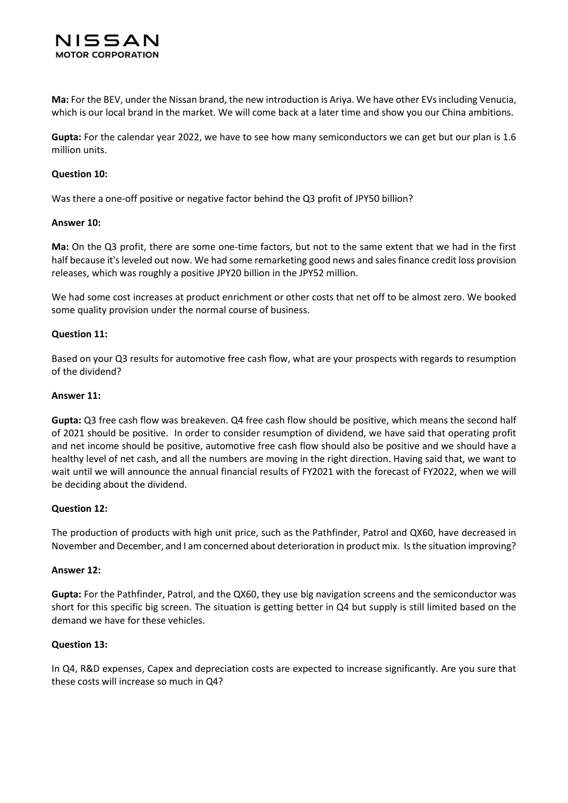

**Ma:** For the BEV, under the Nissan brand, the new introduction is Ariya. We have other EVsincluding Venucia, which is our local brand in the market. We will come back at a later time and show you our China ambitions.

**Gupta:** For the calendar year 2022, we have to see how many semiconductors we can get but our plan is 1.6 million units.

# **Question 10:**

Was there a one-off positive or negative factor behind the Q3 profit of JPY50 billion?

#### **Answer 10:**

**Ma:** On the Q3 profit, there are some one-time factors, but not to the same extent that we had in the first half because it's leveled out now. We had some remarketing good news and sales finance credit loss provision releases, which was roughly a positive JPY20 billion in the JPY52 million.

We had some cost increases at product enrichment or other costs that net off to be almost zero. We booked some quality provision under the normal course of business.

# **Question 11:**

Based on your Q3 results for automotive free cash flow, what are your prospects with regards to resumption of the dividend?

#### **Answer 11:**

**Gupta:** Q3 free cash flow was breakeven. Q4 free cash flow should be positive, which means the second half of 2021 should be positive. In order to consider resumption of dividend, we have said that operating profit and net income should be positive, automotive free cash flow should also be positive and we should have a healthy level of net cash, and all the numbers are moving in the right direction. Having said that, we want to wait until we will announce the annual financial results of FY2021 with the forecast of FY2022, when we will be deciding about the dividend.

# **Question 12:**

The production of products with high unit price, such as the Pathfinder, Patrol and QX60, have decreased in November and December, and I am concerned about deterioration in product mix. Is the situation improving?

#### **Answer 12:**

**Gupta:** For the Pathfinder, Patrol, and the QX60, they use big navigation screens and the semiconductor was short for this specific big screen. The situation is getting better in Q4 but supply is still limited based on the demand we have for these vehicles.

#### **Question 13:**

In Q4, R&D expenses, Capex and depreciation costs are expected to increase significantly. Are you sure that these costs will increase so much in Q4?